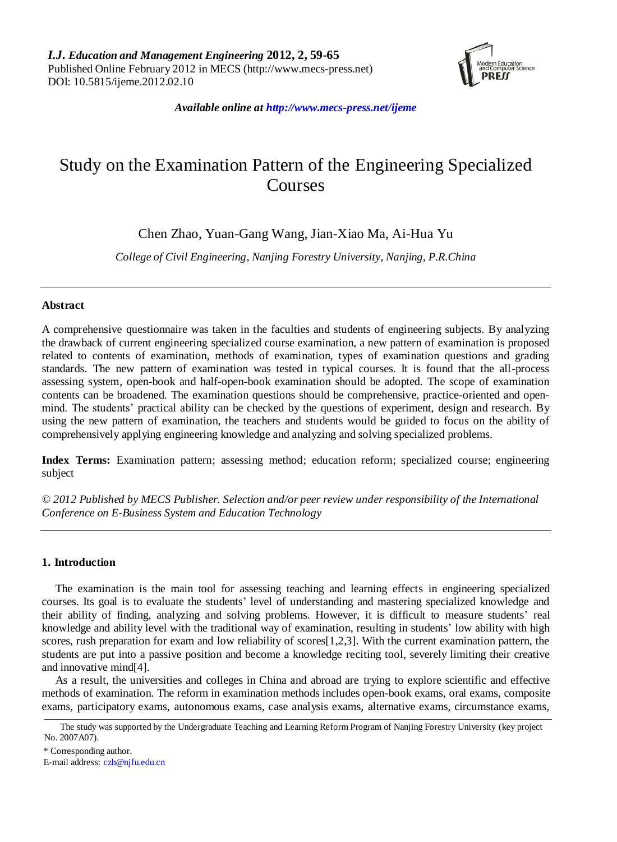

*Available online at http://www.mecs-press.net/ijeme*

# Study on the Examination Pattern of the Engineering Specialized Courses

Chen Zhao, Yuan-Gang Wang, Jian-Xiao Ma, Ai-Hua Yu

*College of Civil Engineering, Nanjing Forestry University, Nanjing, P.R.China*

# **Abstract**

A comprehensive questionnaire was taken in the faculties and students of engineering subjects. By analyzing the drawback of current engineering specialized course examination, a new pattern of examination is proposed related to contents of examination, methods of examination, types of examination questions and grading standards. The new pattern of examination was tested in typical courses. It is found that the all-process assessing system, open-book and half-open-book examination should be adopted. The scope of examination contents can be broadened. The examination questions should be comprehensive, practice-oriented and openmind. The students' practical ability can be checked by the questions of experiment, design and research. By using the new pattern of examination, the teachers and students would be guided to focus on the ability of comprehensively applying engineering knowledge and analyzing and solving specialized problems.

**Index Terms:** Examination pattern; assessing method; education reform; specialized course; engineering subject

*© 2012 Published by MECS Publisher. Selection and/or peer review under responsibility of the International Conference on E-Business System and Education Technology*

# **1. Introduction**

The examination is the main tool for assessing teaching and learning effects in engineering specialized courses. Its goal is to evaluate the students' level of understanding and mastering specialized knowledge and their ability of finding, analyzing and solving problems. However, it is difficult to measure students' real knowledge and ability level with the traditional way of examination, resulting in students' low ability with high scores, rush preparation for exam and low reliability of scores[1,2,3]. With the current examination pattern, the students are put into a passive position and become a knowledge reciting tool, severely limiting their creative and innovative mind[4].

As a result, the universities and colleges in China and abroad are trying to explore scientific and effective methods of examination. The reform in examination methods includes open-book exams, oral exams, composite exams, participatory exams, autonomous exams, case analysis exams, alternative exams, circumstance exams,

The study was supported by the Undergraduate Teaching and Learning Reform Program of Nanjing Forestry University (key project No. 2007A07).

<sup>\*</sup> Corresponding author.

E-mail address: [czh@njfu.edu.cn](mailto:czh@njfu.edu.cn)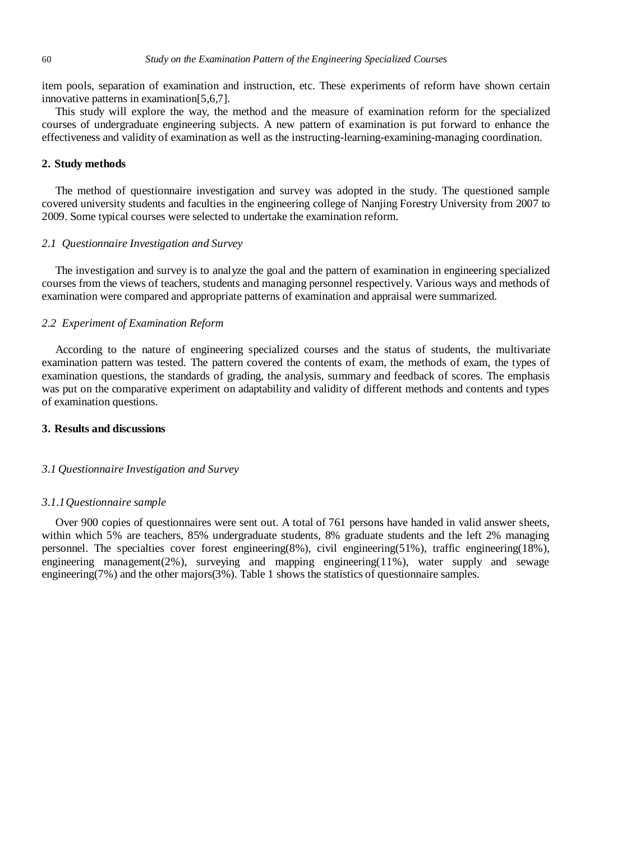item pools, separation of examination and instruction, etc. These experiments of reform have shown certain innovative patterns in examination[5,6,7].

This study will explore the way, the method and the measure of examination reform for the specialized courses of undergraduate engineering subjects. A new pattern of examination is put forward to enhance the effectiveness and validity of examination as well as the instructing-learning-examining-managing coordination.

# **2. Study methods**

The method of questionnaire investigation and survey was adopted in the study. The questioned sample covered university students and faculties in the engineering college of Nanjing Forestry University from 2007 to 2009. Some typical courses were selected to undertake the examination reform.

## *2.1 Questionnaire Investigation and Survey*

The investigation and survey is to analyze the goal and the pattern of examination in engineering specialized courses from the views of teachers, students and managing personnel respectively. Various ways and methods of examination were compared and appropriate patterns of examination and appraisal were summarized.

# *2.2 Experiment of Examination Reform*

According to the nature of engineering specialized courses and the status of students, the multivariate examination pattern was tested. The pattern covered the contents of exam, the methods of exam, the types of examination questions, the standards of grading, the analysis, summary and feedback of scores. The emphasis was put on the comparative experiment on adaptability and validity of different methods and contents and types of examination questions.

# **3. Results and discussions**

## *3.1 Questionnaire Investigation and Survey*

#### *3.1.1Questionnaire sample*

Over 900 copies of questionnaires were sent out. A total of 761 persons have handed in valid answer sheets, within which 5% are teachers, 85% undergraduate students, 8% graduate students and the left 2% managing personnel. The specialties cover forest engineering(8%), civil engineering(51%), traffic engineering(18%), engineering management( $2\%$ ), surveying and mapping engineering( $11\%$ ), water supply and sewage engineering(7%) and the other majors(3%). Table 1 shows the statistics of questionnaire samples.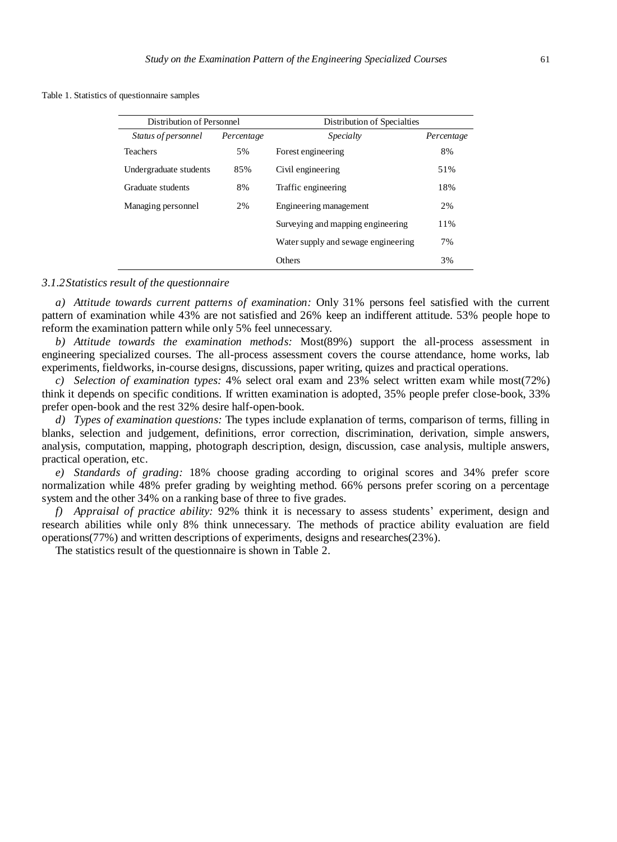Table 1. Statistics of questionnaire samples

| Distribution of Personnel |            | Distribution of Specialties         |            |
|---------------------------|------------|-------------------------------------|------------|
| Status of personnel       | Percentage | Specialty                           | Percentage |
| <b>Teachers</b>           | 5%         | Forest engineering                  | 8%         |
| Undergraduate students    | 85%        | Civil engineering                   | 51%        |
| Graduate students         | 8%         | Traffic engineering                 | 18%        |
| Managing personnel        | 2%         | Engineering management              | 2%         |
|                           |            | Surveying and mapping engineering   | 11%        |
|                           |            | Water supply and sewage engineering | 7%         |
|                           |            | Others                              | 3%         |

# *3.1.2Statistics result of the questionnaire*

*a) Attitude towards current patterns of examination:* Only 31% persons feel satisfied with the current pattern of examination while 43% are not satisfied and 26% keep an indifferent attitude. 53% people hope to reform the examination pattern while only 5% feel unnecessary.

*b) Attitude towards the examination methods:* Most(89%) support the all-process assessment in engineering specialized courses. The all-process assessment covers the course attendance, home works, lab experiments, fieldworks, in-course designs, discussions, paper writing, quizes and practical operations.

*c) Selection of examination types:* 4% select oral exam and 23% select written exam while most(72%) think it depends on specific conditions. If written examination is adopted, 35% people prefer close-book, 33% prefer open-book and the rest 32% desire half-open-book.

*d) Types of examination questions:* The types include explanation of terms, comparison of terms, filling in blanks, selection and judgement, definitions, error correction, discrimination, derivation, simple answers, analysis, computation, mapping, photograph description, design, discussion, case analysis, multiple answers, practical operation, etc.

*e) Standards of grading:* 18% choose grading according to original scores and 34% prefer score normalization while 48% prefer grading by weighting method. 66% persons prefer scoring on a percentage system and the other 34% on a ranking base of three to five grades.

*f) Appraisal of practice ability:* 92% think it is necessary to assess students' experiment, design and research abilities while only 8% think unnecessary. The methods of practice ability evaluation are field operations(77%) and written descriptions of experiments, designs and researches(23%).

The statistics result of the questionnaire is shown in Table 2.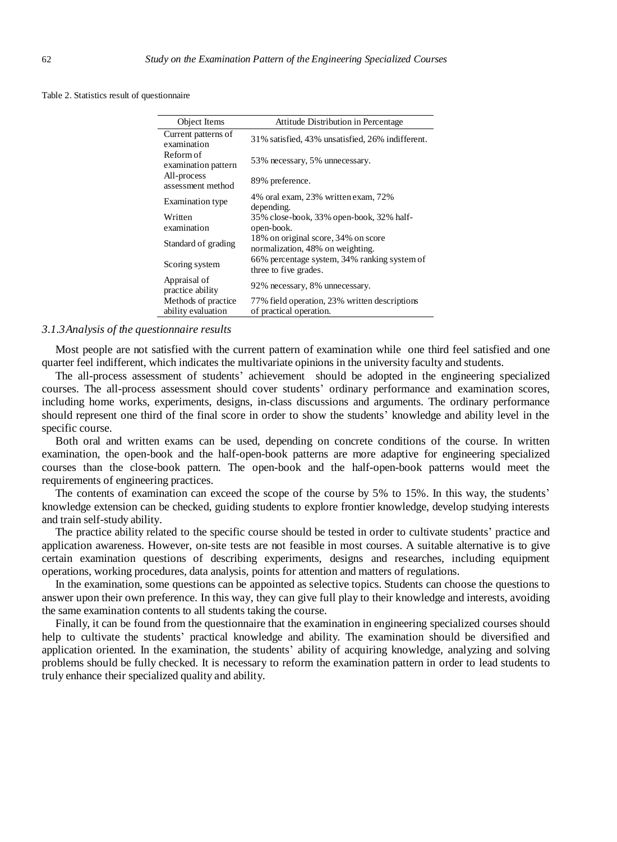Table 2. Statistics result of questionnaire

L.  $\overline{a}$ 

| Object Items                              | Attitude Distribution in Percentage                                      |  |
|-------------------------------------------|--------------------------------------------------------------------------|--|
| Current patterns of<br>examination        | 31% satisfied, 43% unsatisfied, 26% indifferent.                         |  |
| Reform of<br>examination pattern          | 53% necessary, 5% unnecessary.                                           |  |
| All-process<br>assessment method          | 89% preference.                                                          |  |
| <b>Examination</b> type                   | 4% oral exam, 23% written exam, 72%<br>depending.                        |  |
| Written<br>examination                    | 35% close-book, 33% open-book, 32% half-<br>open-book.                   |  |
| Standard of grading                       | 18% on original score, 34% on score<br>normalization, 48% on weighting.  |  |
| Scoring system                            | 66% percentage system, 34% ranking system of<br>three to five grades.    |  |
| Appraisal of<br>practice ability          | 92% necessary, 8% unnecessary.                                           |  |
| Methods of practice<br>ability evaluation | 77% field operation, 23% written descriptions<br>of practical operation. |  |

#### *3.1.3Analysis of the questionnaire results*

Most people are not satisfied with the current pattern of examination while one third feel satisfied and one quarter feel indifferent, which indicates the multivariate opinions in the university faculty and students.

The all-process assessment of students' achievement should be adopted in the engineering specialized courses. The all-process assessment should cover students' ordinary performance and examination scores, including home works, experiments, designs, in-class discussions and arguments. The ordinary performance should represent one third of the final score in order to show the students' knowledge and ability level in the specific course.

Both oral and written exams can be used, depending on concrete conditions of the course. In written examination, the open-book and the half-open-book patterns are more adaptive for engineering specialized courses than the close-book pattern. The open-book and the half-open-book patterns would meet the requirements of engineering practices.

The contents of examination can exceed the scope of the course by 5% to 15%. In this way, the students' knowledge extension can be checked, guiding students to explore frontier knowledge, develop studying interests and train self-study ability.

The practice ability related to the specific course should be tested in order to cultivate students' practice and application awareness. However, on-site tests are not feasible in most courses. A suitable alternative is to give certain examination questions of describing experiments, designs and researches, including equipment operations, working procedures, data analysis, points for attention and matters of regulations.

In the examination, some questions can be appointed as selective topics. Students can choose the questions to answer upon their own preference. In this way, they can give full play to their knowledge and interests, avoiding the same examination contents to all students taking the course.

Finally, it can be found from the questionnaire that the examination in engineering specialized courses should help to cultivate the students' practical knowledge and ability. The examination should be diversified and application oriented. In the examination, the students' ability of acquiring knowledge, analyzing and solving problems should be fully checked. It is necessary to reform the examination pattern in order to lead students to truly enhance their specialized quality and ability.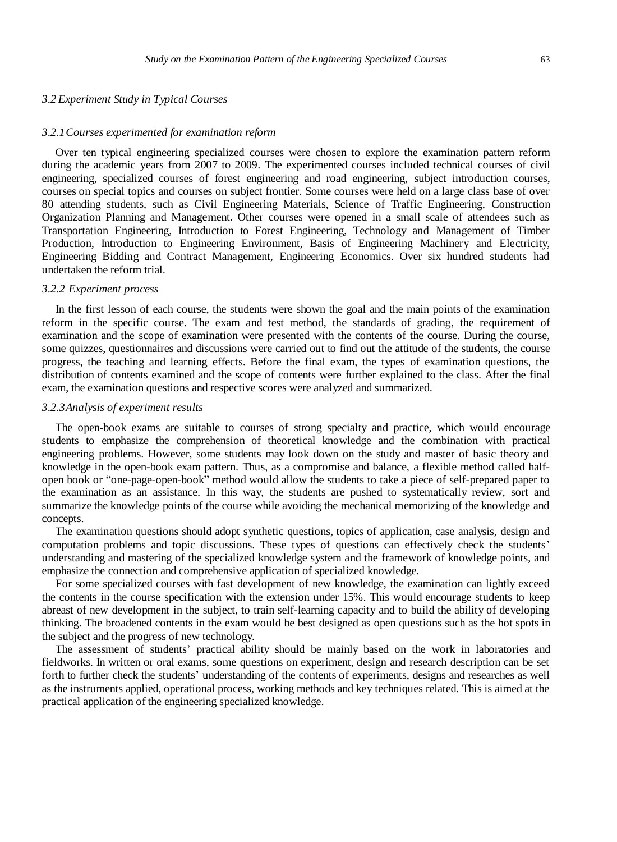## *3.2 Experiment Study in Typical Courses*

#### *3.2.1Courses experimented for examination reform*

Over ten typical engineering specialized courses were chosen to explore the examination pattern reform during the academic years from 2007 to 2009. The experimented courses included technical courses of civil engineering, specialized courses of forest engineering and road engineering, subject introduction courses, courses on special topics and courses on subject frontier. Some courses were held on a large class base of over 80 attending students, such as Civil Engineering Materials, Science of Traffic Engineering, Construction Organization Planning and Management. Other courses were opened in a small scale of attendees such as Transportation Engineering, Introduction to Forest Engineering, Technology and Management of Timber Production, Introduction to Engineering Environment, Basis of Engineering Machinery and Electricity, Engineering Bidding and Contract Management, Engineering Economics. Over six hundred students had undertaken the reform trial.

#### *3.2.2 Experiment process*

In the first lesson of each course, the students were shown the goal and the main points of the examination reform in the specific course. The exam and test method, the standards of grading, the requirement of examination and the scope of examination were presented with the contents of the course. During the course, some quizzes, questionnaires and discussions were carried out to find out the attitude of the students, the course progress, the teaching and learning effects. Before the final exam, the types of examination questions, the distribution of contents examined and the scope of contents were further explained to the class. After the final exam, the examination questions and respective scores were analyzed and summarized.

#### *3.2.3Analysis of experiment results*

The open-book exams are suitable to courses of strong specialty and practice, which would encourage students to emphasize the comprehension of theoretical knowledge and the combination with practical engineering problems. However, some students may look down on the study and master of basic theory and knowledge in the open-book exam pattern. Thus, as a compromise and balance, a flexible method called halfopen book or "one-page-open-book" method would allow the students to take a piece of self-prepared paper to the examination as an assistance. In this way, the students are pushed to systematically review, sort and summarize the knowledge points of the course while avoiding the mechanical memorizing of the knowledge and concepts.

The examination questions should adopt synthetic questions, topics of application, case analysis, design and computation problems and topic discussions. These types of questions can effectively check the students' understanding and mastering of the specialized knowledge system and the framework of knowledge points, and emphasize the connection and comprehensive application of specialized knowledge.

For some specialized courses with fast development of new knowledge, the examination can lightly exceed the contents in the course specification with the extension under 15%. This would encourage students to keep abreast of new development in the subject, to train self-learning capacity and to build the ability of developing thinking. The broadened contents in the exam would be best designed as open questions such as the hot spots in the subject and the progress of new technology.

The assessment of students' practical ability should be mainly based on the work in laboratories and fieldworks. In written or oral exams, some questions on experiment, design and research description can be set forth to further check the students' understanding of the contents of experiments, designs and researches as well as the instruments applied, operational process, working methods and key techniques related. This is aimed at the practical application of the engineering specialized knowledge.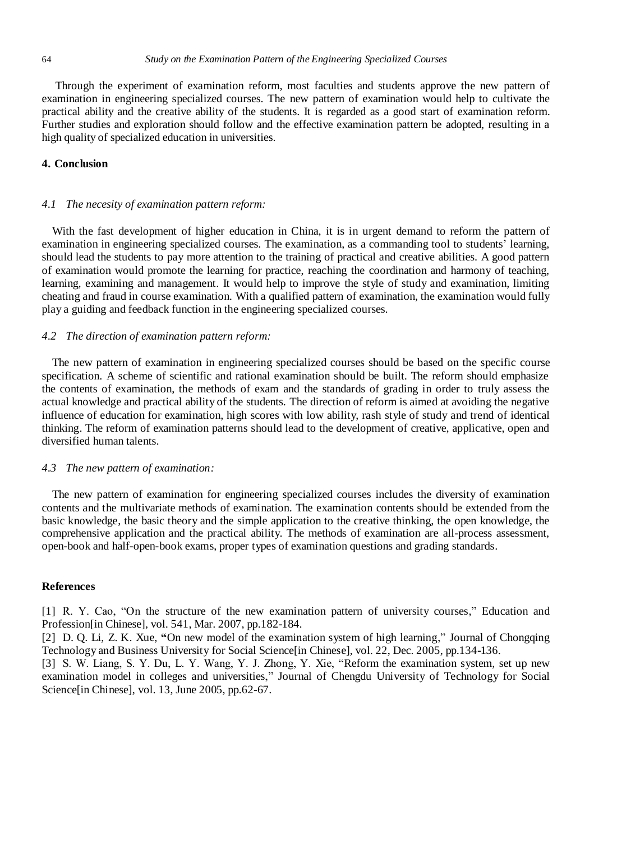Through the experiment of examination reform, most faculties and students approve the new pattern of examination in engineering specialized courses. The new pattern of examination would help to cultivate the practical ability and the creative ability of the students. It is regarded as a good start of examination reform. Further studies and exploration should follow and the effective examination pattern be adopted, resulting in a high quality of specialized education in universities.

# **4. Conclusion**

## *4.1 The necesity of examination pattern reform:*

With the fast development of higher education in China, it is in urgent demand to reform the pattern of examination in engineering specialized courses. The examination, as a commanding tool to students' learning, should lead the students to pay more attention to the training of practical and creative abilities. A good pattern of examination would promote the learning for practice, reaching the coordination and harmony of teaching, learning, examining and management. It would help to improve the style of study and examination, limiting cheating and fraud in course examination. With a qualified pattern of examination, the examination would fully play a guiding and feedback function in the engineering specialized courses.

## *4.2 The direction of examination pattern reform:*

The new pattern of examination in engineering specialized courses should be based on the specific course specification. A scheme of scientific and rational examination should be built. The reform should emphasize the contents of examination, the methods of exam and the standards of grading in order to truly assess the actual knowledge and practical ability of the students. The direction of reform is aimed at avoiding the negative influence of education for examination, high scores with low ability, rash style of study and trend of identical thinking. The reform of examination patterns should lead to the development of creative, applicative, open and diversified human talents.

## *4.3 The new pattern of examination:*

The new pattern of examination for engineering specialized courses includes the diversity of examination contents and the multivariate methods of examination. The examination contents should be extended from the basic knowledge, the basic theory and the simple application to the creative thinking, the open knowledge, the comprehensive application and the practical ability. The methods of examination are all-process assessment, open-book and half-open-book exams, proper types of examination questions and grading standards.

## **References**

[1] R. Y. Cao, "On the structure of the new examination pattern of university courses," Education and Profession[in Chinese], vol. 541, Mar. 2007, pp.182-184.

[2] D. Q. Li, Z. K. Xue, **"**On new model of the examination system of high learning," Journal of Chongqing Technology and Business University for Social Science[in Chinese], vol. 22, Dec. 2005, pp.134-136.

[3] S. W. Liang, S. Y. Du, L. Y. Wang, Y. J. Zhong, Y. Xie, "Reform the examination system, set up new examination model in colleges and universities," Journal of Chengdu University of Technology for Social Science<sup>[in Chinese]</sup>, vol. 13, June 2005, pp.62-67.